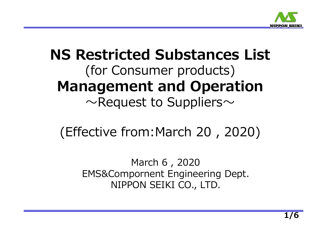

# **NS Restricted Substances List** (for Consumer products) **Management and Operation**  $\sim$ Request to Suppliers $\sim$

(Effective from:March 20 , 2020)

March 6 , 2020 EMS&Compornent Engineering Dept. NIPPON SEIKI CO., LTD.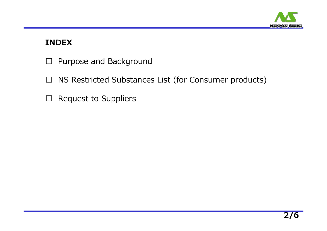

# **INDEX**

- □ Purpose and Background
- □ NS Restricted Substances List (for Consumer products)
- $\square$  Request to Suppliers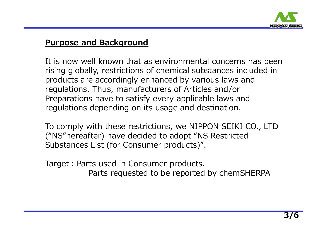

# **Purpose and Background**

It is now well known that as environmental concerns has been rising globally, restrictions of chemical substances included in products are accordingly enhanced by various laws and regulations. Thus, manufacturers of Articles and/or Preparations have to satisfy every applicable laws and regulations depending on its usage and destination.

To comply with these restrictions, we NIPPON SEIKI CO., LTD ("NS"hereafter) have decided to adopt "NS Restricted Substances List (for Consumer products)".

Target: Parts used in Consumer products. Parts requested to be reported by chemSHERPA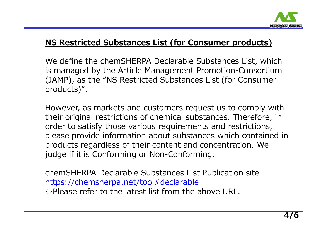

# **NS Restricted Substances List (for Consumer products)**

We define the chemSHERPA Declarable Substances List, which is managed by the Article Management Promotion-Consortium (JAMP), as the "NS Restricted Substances List (for Consumer products)".

However, as markets and customers request us to comply with their original restrictions of chemical substances. Therefore, in order to satisfy those various requirements and restrictions, please provide information about substances which contained in products regardless of their content and concentration. We judge if it is Conforming or Non-Conforming.

chemSHERPA Declarable Substances List Publication site https://chemsherpa.net/tool#declarable ※Please refer to the latest list from the above URL.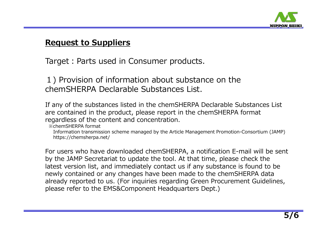

## **Request to Suppliers**

Target: Parts used in Consumer products.

1) Provision of information about substance on the chemSHERPA Declarable Substances List.

If any of the substances listed in the chemSHERPA Declarable Substances List are contained in the product, please report in the chemSHERPA format regardless of the content and concentration.

※chemSHERPA format

Information transmission scheme managed by the Article Management Promotion-Consortium (JAMP) https://chemsherpa.net/

For users who have downloaded chemSHERPA, a notification E-mail will be sent by the JAMP Secretariat to update the tool. At that time, please check the latest version list, and immediately contact us if any substance is found to be newly contained or any changes have been made to the chemSHERPA data already reported to us. (For inquiries regarding Green Procurement Guidelines, please refer to the EMS&Component Headquarters Dept.)